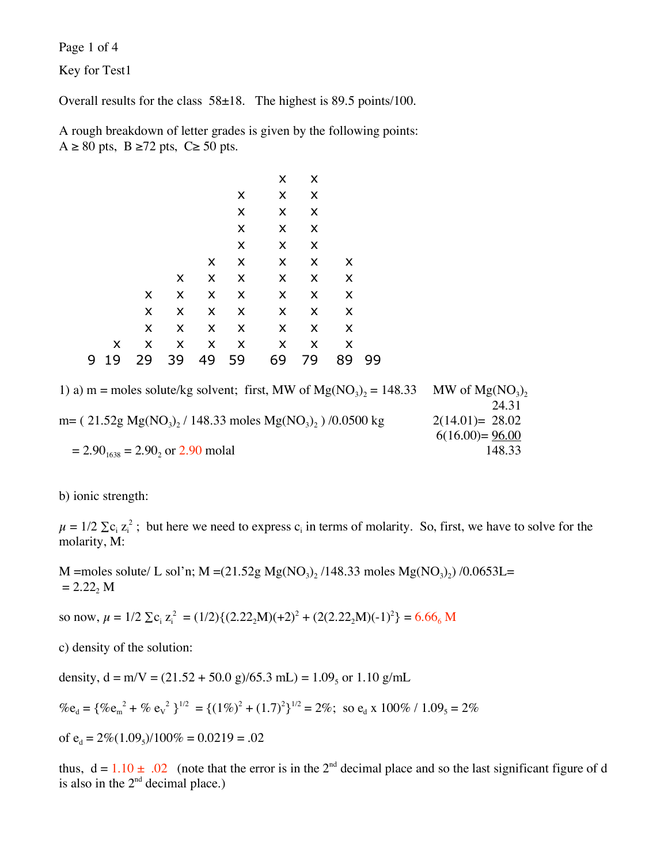Page 1 of 4

Key for Test1

Overall results for the class 58±18. The highest is 89.5 points/100.

A rough breakdown of letter grades is given by the following points:  $A \ge 80$  pts,  $B \ge 72$  pts,  $C \ge 50$  pts.

|   |    |                |                |                |                    | x              | X              |                |    |
|---|----|----------------|----------------|----------------|--------------------|----------------|----------------|----------------|----|
|   |    |                |                |                | X                  | $\pmb{\times}$ | X              |                |    |
|   |    |                |                |                | $\pmb{\times}$     | X              | X              |                |    |
|   |    |                |                |                | $\pmb{\mathsf{X}}$ | X              | X              |                |    |
|   |    |                |                |                | X                  | X              | X              |                |    |
|   |    |                |                | X              | $\pmb{\times}$     | $\pmb{\times}$ | $\pmb{\times}$ | X              |    |
|   |    |                | X              | $\pmb{\times}$ | $\pmb{\times}$     | X              | $\pmb{\times}$ | $\pmb{\times}$ |    |
|   |    | X              | $\pmb{\times}$ | $\pmb{\times}$ | $\pmb{\times}$     | $\pmb{\times}$ | $\pmb{\times}$ | $\pmb{\times}$ |    |
|   |    | X              | $\pmb{\times}$ | $\pmb{\times}$ | $\pmb{\times}$     | X              | $\pmb{\times}$ | $\pmb{\times}$ |    |
|   |    | X              | X              | $\pmb{\times}$ | $\pmb{\times}$     | X              | $\pmb{\times}$ | $\pmb{\times}$ |    |
|   | X  | $\pmb{\times}$ | $\pmb{\times}$ | $\pmb{\times}$ | $\pmb{\times}$     | $\pmb{\times}$ | $\pmb{\times}$ | $\pmb{\times}$ |    |
| 9 | 19 | 29             | 39             | 49             | 59                 | 69             | 79             | 89             | 99 |
|   |    |                |                |                |                    |                |                |                |    |

| 1) a) m = moles solute/kg solvent; first, MW of $Mg(NO_3)$ , = 148.33  | MW of $Mg(NO_3)$ , |
|------------------------------------------------------------------------|--------------------|
|                                                                        | 24.31              |
| m= $(21.52g Mg(NO_3), 148.33$ moles Mg(NO <sub>3</sub> ), $/0.0500 kg$ | $2(14.01)= 28.02$  |
|                                                                        | $6(16.00) = 96.00$ |
| $= 2.901638 = 2.90$ , or 2.90 molal                                    | 148.33             |

b) ionic strength:

 $\mu = 1/2 \sum c_i z_i^2$ ; but here we need to express  $c_i$  in terms of molarity. So, first, we have to solve for the molarity, M:

M =moles solute/ L sol'n; M =(21.52g Mg(NO<sub>3</sub>)<sub>2</sub> /148.33 moles Mg(NO<sub>3</sub>)<sub>2</sub>) /0.0653L=  $= 2.22<sub>2</sub> M$ 

so now,  $\mu = 1/2 \sum c_i z_i^2 = (1/2)\{(2.22_2M)(+2)^2 + (2(2.22_2M)(-1)^2\} = 6.66_6 M$ 

c) density of the solution:

density,  $d = m/V = (21.52 + 50.0 \text{ g})/65.3 \text{ mL} = 1.09$ <sub>s</sub> or 1.10 g/mL

$$
\%e_{d} = \{ \%e_{m}^{2} + \% e_{v}^{2} \}^{1/2} = \{ (1\%)^{2} + (1.7)^{2} \}^{1/2} = 2\%; \text{ so } e_{d} \times 100\% / 1.09_{5} = 2\%
$$

of 
$$
e_d = 2\%(1.09_s)/100\% = 0.0219 = .02
$$

thus,  $d = 1.10 \pm .02$  (note that the error is in the 2<sup>nd</sup> decimal place and so the last significant figure of d is also in the  $2<sup>nd</sup>$  decimal place.)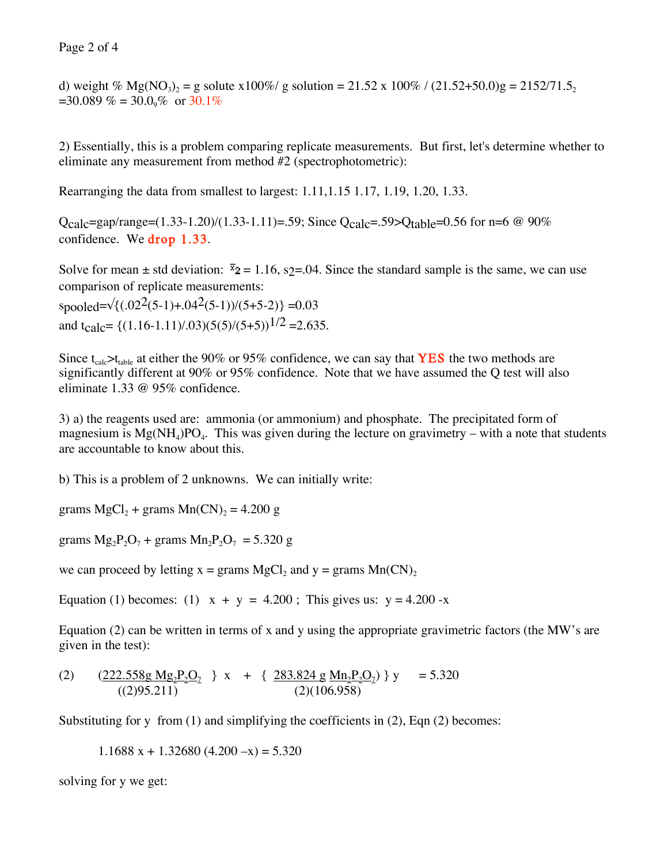## Page 2 of 4

d) weight % Mg(NO<sub>3</sub>)<sub>2</sub> = g solute x100%/ g solution = 21.52 x 100% / (21.52+50.0)g = 2152/71.5<sub>2</sub>  $=30.089\% = 30.0\%$  or  $30.1\%$ 

2) Essentially, this is a problem comparing replicate measurements. But first, let's determine whether to eliminate any measurement from method #2 (spectrophotometric):

Rearranging the data from smallest to largest: 1.11,1.15 1.17, 1.19, 1.20, 1.33.

Qcalc=gap/range=(1.33-1.20)/(1.33-1.11)=.59; Since Qcalc=.59>Qtable=0.56 for n=6  $\omega$  90% confidence. We drop 1.33.

Solve for mean  $\pm$  std deviation:  $\overline{z}_2$  = 1.16, s<sub>2</sub>=.04. Since the standard sample is the same, we can use comparison of replicate measurements:  $s_{\text{pooled}} = \sqrt{(0.02(5-1)+0.04^2(5-1))/(5+5-2)} = 0.03$ and t<sub>calc</sub>= { $(1.16-1.11)/.03$ )(5(5)/(5+5))<sup>1/2</sup> = 2.635.

Since t<sub>calc</sub>>t<sub>table</sub> at either the 90% or 95% confidence, we can say that **YES** the two methods are significantly different at 90% or 95% confidence. Note that we have assumed the Q test will also eliminate 1.33 @ 95% confidence.

3) a) the reagents used are: ammonia (or ammonium) and phosphate. The precipitated form of magnesium is  $Mg(NH_4)PQ_4$ . This was given during the lecture on gravimetry – with a note that students are accountable to know about this.

b) This is a problem of 2 unknowns. We can initially write:

grams  $MgCl<sub>2</sub> + grams Mn(CN)<sub>2</sub> = 4.200 g$ 

grams  $Mg_2P_2O_7$  + grams  $Mn_2P_2O_7$  = 5.320 g

we can proceed by letting  $x = \text{grams } MgCl_2$  and  $y = \text{grams } Mn(CN)_2$ 

Equation (1) becomes: (1)  $x + y = 4.200$ ; This gives us:  $y = 4.200 - x$ 

Equation (2) can be written in terms of x and y using the appropriate gravimetric factors (the MW's are given in the test):

(2) 
$$
\frac{(222.558g \text{ Mg}_2 \text{P}_2 \text{O}_2)}{((295.211)} \} \times + \{ \frac{283.824 g \text{ Mn}_2 \text{P}_2 \text{O}_2}{(2)(106.958)} \} \times = 5.320
$$

Substituting for y from  $(1)$  and simplifying the coefficients in  $(2)$ , Eqn  $(2)$  becomes:

1.1688  $x + 1.32680$  (4.200  $-x$ ) = 5.320

solving for y we get: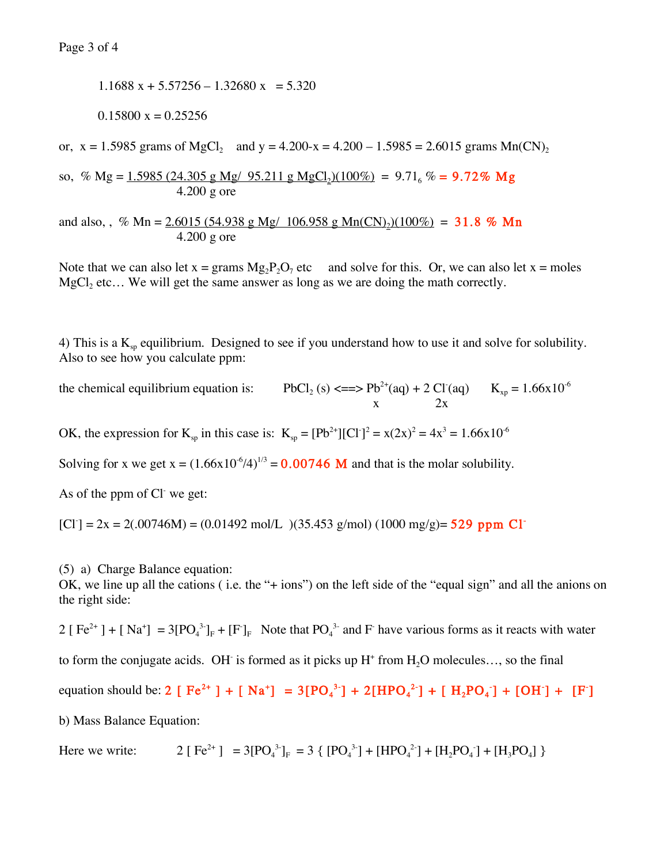1.1688  $x + 5.57256 - 1.32680 x = 5.320$ 

 $0.15800 x = 0.25256$ 

or,  $x = 1.5985$  grams of MgCl<sub>2</sub> and  $y = 4.200 - x = 4.200 - 1.5985 = 2.6015$  grams Mn(CN)<sub>2</sub>

so, % Mg =  $1.5985$  (24.305 g Mg/ 95.211 g MgCl<sub>2</sub>)(100%) = 9.71<sub>6</sub> % = 9.72% Mg 4.200 g ore

and also, , % Mn =  $2.6015$  (54.938 g Mg/ 106.958 g Mn(CN)<sub>2</sub>)(100%) = 31.8 % Mn 4.200 g ore

Note that we can also let  $x = \text{grams } Mg_2P_2O_7$  etc and solve for this. Or, we can also let  $x = \text{moles}$ MgCl<sub>2</sub> etc... We will get the same answer as long as we are doing the math correctly.

4) This is a  $K_{\rm sn}$  equilibrium. Designed to see if you understand how to use it and solve for solubility. Also to see how you calculate ppm:

the chemical equilibrium equation is:  $(aq) + 2 \text{ Cl}^-(aq)$   $K_{xp} = 1.66 \times 10^{-6}$  $x \t 2x$ 

OK, the expression for  $K_{sp}$  in this case is:  $K_{sp} = [Pb^{2+}][C1]^{2} = x(2x)^{2} = 4x^{3} = 1.66x10^{6}$ 

Solving for x we get  $x = (1.66x10^{-6}/4)^{1/3} = 0.00746$  M and that is the molar solubility.

As of the ppm of Cl we get:

 $[C1] = 2x = 2(.00746M) = (0.01492 \text{ mol/L}) (35.453 \text{ g/mol}) (1000 \text{ mg/g}) = 529 \text{ ppm Cl}$ 

(5) a) Charge Balance equation:

OK, we line up all the cations ( i.e. the "+ ions") on the left side of the "equal sign" and all the anions on the right side:

2 [ Fe<sup>2+</sup> ] + [Na<sup>+</sup>] = 3[PO<sub>4</sub><sup>3</sup>-]<sub>F</sub> + [F<sup>-</sup>]<sub>F</sub> Note that PO<sub>4</sub><sup>3-</sup> and F<sup>-</sup> have various forms as it reacts with water

to form the conjugate acids. OH is formed as it picks up  $H^+$  from  $H_2O$  molecules..., so the final

equation should be: 2 [ Fe<sup>2+</sup> ] + [ Na<sup>+</sup>] = 3[PO<sub>4</sub><sup>3-</sup>] + 2[HPO<sub>4</sub><sup>2</sup>-] + [ H<sub>2</sub>PO<sub>4</sub><sup>-</sup>] + [OH<sup>-</sup>] + [F<sup>-</sup>]

b) Mass Balance Equation:

Here we write:  $2 [Fe^{2+}] = 3[PO_4^{3}]_F = 3 { [PO_4^{3}]} + [HPO_4^{2}] + [H_2PO_4] + [H_3PO_4]$